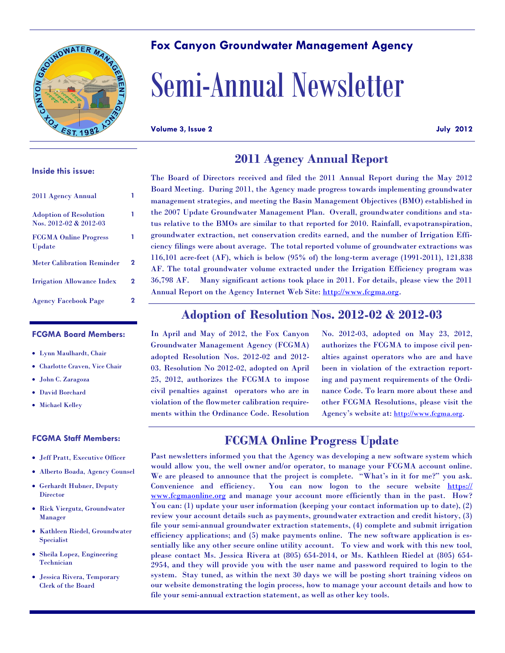

## **Fox Canyon Groundwater Management Agency**

# Semi-Annual Newsletter

**Volume 3, Issue 2 July 2012**

#### **Inside this issue:**

| 2011 Agency Annual                                      |   |
|---------------------------------------------------------|---|
| <b>Adoption of Resolution</b><br>Nos. 2012-02 & 2012-03 | 1 |
| <b>FCGMA Online Progress</b><br>Update                  | 1 |
| <b>Meter Calibration Reminder</b>                       | 2 |
| <b>Irrigation Allowance Index</b>                       | 2 |
| <b>Agency Facebook Page</b>                             | 2 |

#### **FCGMA Board Members:**

- Lynn Maulhardt, Chair
- Charlotte Craven, Vice Chair
- John C. Zaragoza
- David Borchard
- Michael Kelley

#### **FCGMA Staff Members:**

- Jeff Pratt, Executive Officer
- Alberto Boada, Agency Counsel
- Gerhardt Hubner, Deputy Director
- Rick Viergutz, Groundwater Manager
- **Kathleen Riedel, Groundwater** Specialist
- Sheila Lopez, Engineering Technician
- Jessica Rivera, Temporary Clerk of the Board

## **2011 Agency Annual Report**

The Board of Directors received and filed the 2011 Annual Report during the May 2012 Board Meeting. During 2011, the Agency made progress towards implementing groundwater management strategies, and meeting the Basin Management Objectives (BMO) established in the 2007 Update Groundwater Management Plan. Overall, groundwater conditions and status relative to the BMOs are similar to that reported for 2010. Rainfall, evapotranspiration, groundwater extraction, net conservation credits earned, and the number of Irrigation Efficiency filings were about average. The total reported volume of groundwater extractions was 116,101 acre-feet (AF), which is below (95% of) the long-term average (1991-2011), 121,838 AF. The total groundwater volume extracted under the Irrigation Efficiency program was 36,798 AF. Many significant actions took place in 2011. For details, please view the 2011 Annual Report on the Agency Internet Web Site: http://www.fcgma.org.

### **Adoption of Resolution Nos. 2012-02 & 2012-03**

In April and May of 2012, the Fox Canyon Groundwater Management Agency (FCGMA) adopted Resolution Nos. 2012-02 and 2012- 03. Resolution No 2012-02, adopted on April 25, 2012, authorizes the FCGMA to impose civil penalties against operators who are in violation of the flowmeter calibration requirements within the Ordinance Code. Resolution No. 2012-03, adopted on May 23, 2012, authorizes the FCGMA to impose civil penalties against operators who are and have been in violation of the extraction reporting and payment requirements of the Ordinance Code. To learn more about these and other FCGMA Resolutions, please visit the Agency's website at: http://www.fcgma.org.

#### **FCGMA Online Progress Update**

Past newsletters informed you that the Agency was developing a new software system which would allow you, the well owner and/or operator, to manage your FCGMA account online. We are pleased to announce that the project is complete. "What's in it for me?" you ask. Convenience and efficiency. You can now logon to the secure website https:// www.fcgmaonline.org and manage your account more efficiently than in the past. How? You can: (1) update your user information (keeping your contact information up to date), (2) review your account details such as payments, groundwater extraction and credit history, (3) file your semi-annual groundwater extraction statements, (4) complete and submit irrigation efficiency applications; and (5) make payments online. The new software application is essentially like any other secure online utility account. To view and work with this new tool, please contact Ms. Jessica Rivera at (805) 654-2014, or Ms. Kathleen Riedel at (805) 654- 2954, and they will provide you with the user name and password required to login to the system. Stay tuned, as within the next 30 days we will be posting short training videos on our website demonstrating the login process, how to manage your account details and how to file your semi-annual extraction statement, as well as other key tools.